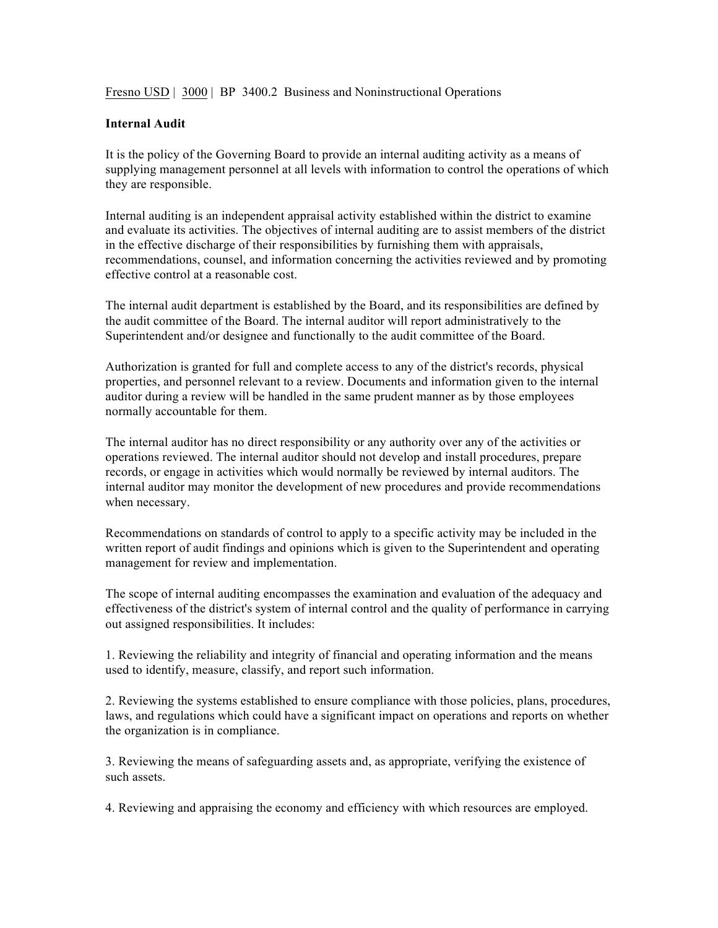Fresno USD | 3000 | BP 3400.2 Business and Noninstructional Operations

## **Internal Audit**

It is the policy of the Governing Board to provide an internal auditing activity as a means of supplying management personnel at all levels with information to control the operations of which they are responsible.

Internal auditing is an independent appraisal activity established within the district to examine and evaluate its activities. The objectives of internal auditing are to assist members of the district in the effective discharge of their responsibilities by furnishing them with appraisals, recommendations, counsel, and information concerning the activities reviewed and by promoting effective control at a reasonable cost.

The internal audit department is established by the Board, and its responsibilities are defined by the audit committee of the Board. The internal auditor will report administratively to the Superintendent and/or designee and functionally to the audit committee of the Board.

Authorization is granted for full and complete access to any of the district's records, physical properties, and personnel relevant to a review. Documents and information given to the internal auditor during a review will be handled in the same prudent manner as by those employees normally accountable for them.

The internal auditor has no direct responsibility or any authority over any of the activities or operations reviewed. The internal auditor should not develop and install procedures, prepare records, or engage in activities which would normally be reviewed by internal auditors. The internal auditor may monitor the development of new procedures and provide recommendations when necessary.

Recommendations on standards of control to apply to a specific activity may be included in the written report of audit findings and opinions which is given to the Superintendent and operating management for review and implementation.

The scope of internal auditing encompasses the examination and evaluation of the adequacy and effectiveness of the district's system of internal control and the quality of performance in carrying out assigned responsibilities. It includes:

1. Reviewing the reliability and integrity of financial and operating information and the means used to identify, measure, classify, and report such information.

2. Reviewing the systems established to ensure compliance with those policies, plans, procedures, laws, and regulations which could have a significant impact on operations and reports on whether the organization is in compliance.

3. Reviewing the means of safeguarding assets and, as appropriate, verifying the existence of such assets.

4. Reviewing and appraising the economy and efficiency with which resources are employed.